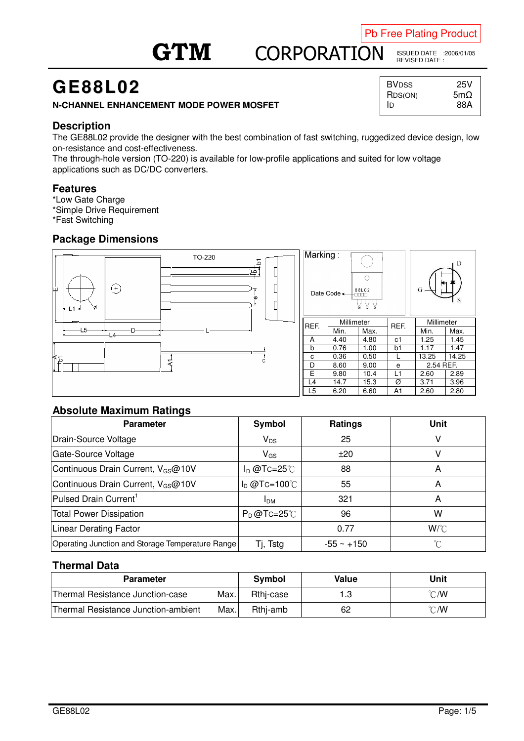## Pb Free Plating Product

# **GTM** CO **CORPORATION**

ISSUED DATE :2006/01/05 REVISED DATE :

# **GE88L02**

### **N-CHANNEL ENHANCEMENT MODE POWER MOSFET**

# **Description**

The GE88L02 provide the designer with the best combination of fast switching, ruggedized device design, low on-resistance and cost-effectiveness.

The through-hole version (TO-220) is available for low-profile applications and suited for low voltage applications such as DC/DC converters.

#### **Features**

\*Low Gate Charge

\*Simple Drive Requirement

\*Fast Switching

# **Package Dimensions**



### **Absolute Maximum Ratings**

| <b>Parameter</b>                                 | Symbol               | <b>Ratings</b>  | Unit            |
|--------------------------------------------------|----------------------|-----------------|-----------------|
| Drain-Source Voltage                             | $V_{DS}$             | 25              |                 |
| Gate-Source Voltage                              | $V_{GS}$             | ±20             |                 |
| Continuous Drain Current, V <sub>GS</sub> @10V   | $I_D$ @Tc=25°C       | 88              | A               |
| Continuous Drain Current, V <sub>GS</sub> @10V   | $I_D$ @Tc=100°C      | 55              | A               |
| Pulsed Drain Current <sup>1</sup>                | I <sub>DM</sub>      | 321             | А               |
| <b>Total Power Dissipation</b>                   | $P_D@TC=25^{\circ}C$ | 96              | W               |
| Linear Derating Factor                           |                      | 0.77            | W/C             |
| Operating Junction and Storage Temperature Range | Tj, Tstg             | $-55 \sim +150$ | $\rm ^{\circ}C$ |

### **Thermal Data**

| <b>Parameter</b>                    |      | Symbol    | Value | Unit           |
|-------------------------------------|------|-----------|-------|----------------|
| Thermal Resistance Junction-case    | Max. | Rthj-case |       | $\degree$ C/W  |
| Thermal Resistance Junction-ambient | Max. | Rthi-amb  | 62    | $^{\circ}$ C/W |

| BVDSS   | 25V         |
|---------|-------------|
| RDS(ON) | 5m $\Omega$ |
| ID      | 88A         |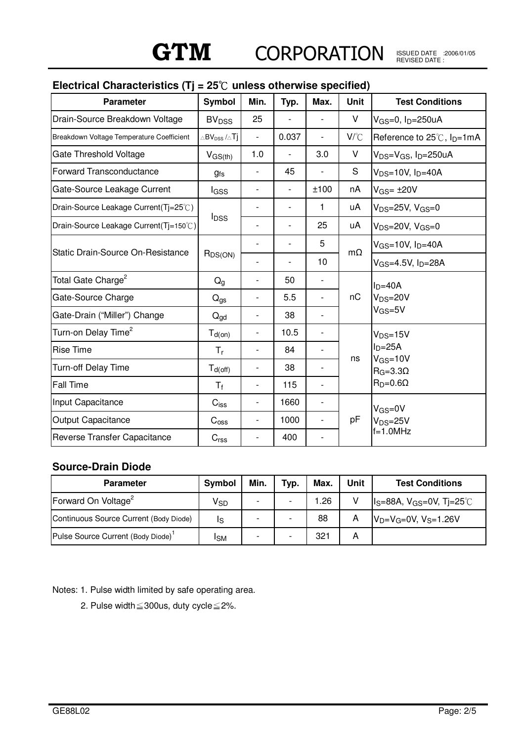ISSUED DATE :2006/01/05 REVISED DATE :

| <b>Parameter</b>                          | Symbol                                                | Min.                     | Typ.                     | Max.                     | <b>Unit</b>                                                                                         | <b>Test Conditions</b>                               |
|-------------------------------------------|-------------------------------------------------------|--------------------------|--------------------------|--------------------------|-----------------------------------------------------------------------------------------------------|------------------------------------------------------|
| Drain-Source Breakdown Voltage            | <b>BV<sub>DSS</sub></b>                               | 25                       |                          |                          | V                                                                                                   | $V$ <sub>GS</sub> =0, $ID$ =250uA                    |
| Breakdown Voltage Temperature Coefficient | $\vartriangle$ BV $_{\text{DSS}}$ / $\vartriangle$ Tj |                          | 0.037                    | $\overline{\phantom{a}}$ | $V^{\circ}C$                                                                                        | Reference to 25℃, I <sub>D</sub> =1mA                |
| <b>Gate Threshold Voltage</b>             | $V_{GS(th)}$                                          | 1.0                      | $\overline{\phantom{0}}$ | 3.0                      | V                                                                                                   | $V_{DS}=V_{GS}$ , I <sub>D</sub> =250uA              |
| <b>Forward Transconductance</b>           | <b>gfs</b>                                            |                          | 45                       |                          | S                                                                                                   | $V_{DS}=10V$ , $I_D=40A$                             |
| Gate-Source Leakage Current               | lgss                                                  |                          | $\overline{\phantom{0}}$ | ±100                     | nA                                                                                                  | $V$ <sub>GS</sub> = $\pm$ 20V                        |
| Drain-Source Leakage Current(Tj=25°C)     |                                                       |                          |                          | 1                        | uA<br>uA                                                                                            | $V_{DS}=25V, V_{GS}=0$                               |
| Drain-Source Leakage Current(Tj=150°C)    | <b>I</b> <sub>DSS</sub>                               |                          |                          | 25                       |                                                                                                     | $V_{DS}=20V, V_{GS}=0$                               |
| Static Drain-Source On-Resistance         | $R_{DS(ON)}$                                          |                          |                          | 5                        | $m\Omega$                                                                                           | $V$ <sub>GS=10</sub> V, $I_D=40A$                    |
|                                           |                                                       |                          |                          | 10                       |                                                                                                     | $V$ <sub>GS=4.5</sub> V, I <sub>D</sub> =28A         |
| Total Gate Charge <sup>2</sup>            | $Q_{q}$                                               |                          | 50                       | $\overline{\phantom{a}}$ | nC                                                                                                  | $I_D=40A$<br>$V_{DS}=20V$<br>$V$ <sub>GS</sub> =5V   |
| Gate-Source Charge                        | $Q_{gs}$                                              |                          | 5.5                      | $\overline{\phantom{a}}$ |                                                                                                     |                                                      |
| Gate-Drain ("Miller") Change              | $Q_{\text{gd}}$                                       | $\overline{\phantom{0}}$ | 38                       | $\overline{\phantom{a}}$ |                                                                                                     |                                                      |
| Turn-on Delay Time <sup>2</sup>           | $T_{d(on)}$                                           |                          | 10.5                     | $\overline{\phantom{a}}$ | $V_{DS}=15V$<br>$I_D = 25A$<br>$V$ <sub>GS</sub> =10V<br>ns<br>$R_G = 3.3\Omega$<br>$R_D=0.6\Omega$ |                                                      |
| <b>Rise Time</b>                          | $T_r$                                                 |                          | 84                       |                          |                                                                                                     |                                                      |
| <b>Turn-off Delay Time</b>                | $T_{d(off)}$                                          |                          | 38                       | $\overline{\phantom{a}}$ |                                                                                                     |                                                      |
| <b>Fall Time</b>                          | $T_f$                                                 | $\overline{\phantom{0}}$ | 115                      | $\overline{\phantom{a}}$ |                                                                                                     |                                                      |
| Input Capacitance                         | $C$ <sub>iss</sub>                                    |                          | 1660                     | $\overline{\phantom{a}}$ | pF                                                                                                  | $V$ <sub>GS=0</sub> V<br>$V_{DS}=25V$<br>$f=1.0$ MHz |
| Output Capacitance                        | $C_{\rm oss}$                                         | $\overline{a}$           | 1000                     | $\overline{\phantom{a}}$ |                                                                                                     |                                                      |
| Reverse Transfer Capacitance              | C <sub>rss</sub>                                      | $\overline{\phantom{0}}$ | 400                      |                          |                                                                                                     |                                                      |

# **Electrical Characteristics (Tj = 25**к **unless otherwise specified)**

## **Source-Drain Diode**

| <b>Parameter</b>                               | Symbol          | Min.                     | Typ. | Max. | Unit | <b>Test Conditions</b>                                                   |
|------------------------------------------------|-----------------|--------------------------|------|------|------|--------------------------------------------------------------------------|
| Forward On Voltage <sup>2</sup>                | V <sub>SD</sub> | $\overline{\phantom{0}}$ |      | 1.26 | v    | $\parallel$ <sub>S</sub> =88A, V <sub>GS</sub> =0V, T <sub>j</sub> =25°C |
| Continuous Source Current (Body Diode)         | IS              | $\overline{\phantom{0}}$ |      | 88   | А    | $V_D=V_G=0V$ , $V_S=1.26V$                                               |
| Pulse Source Current (Body Diode) <sup>1</sup> | ISM             | $\overline{\phantom{0}}$ |      | 321  | А    |                                                                          |

Notes: 1. Pulse width limited by safe operating area.

2. Pulse width $\leq$ 300us, duty cycle $\leq$ 2%.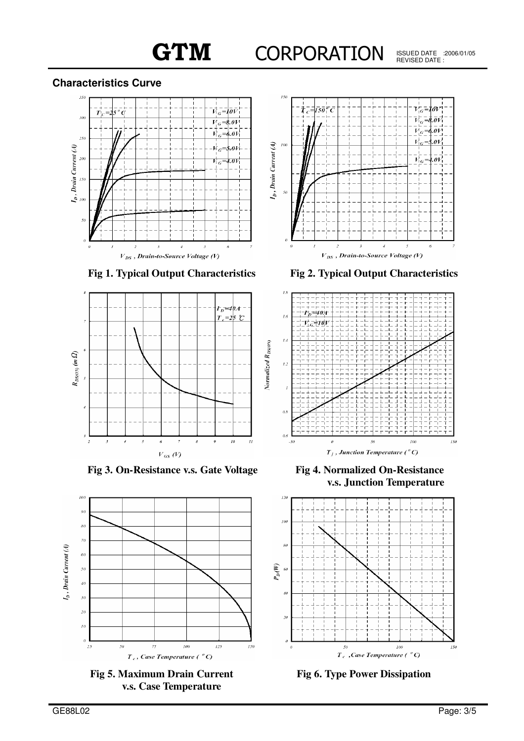# **Characteristics Curve**





**Fig 1. Typical Output Characteristics Fig 2. Typical Output Characteristics**



**Fig 3. On-Resistance v.s. Gate Voltage Fig 4. Normalized On-Resistance**



**Fig 5. Maximum Drain Current v.s. Case Temperature**



**v.s. Junction Temperature**



**Fig 6. Type Power Dissipation**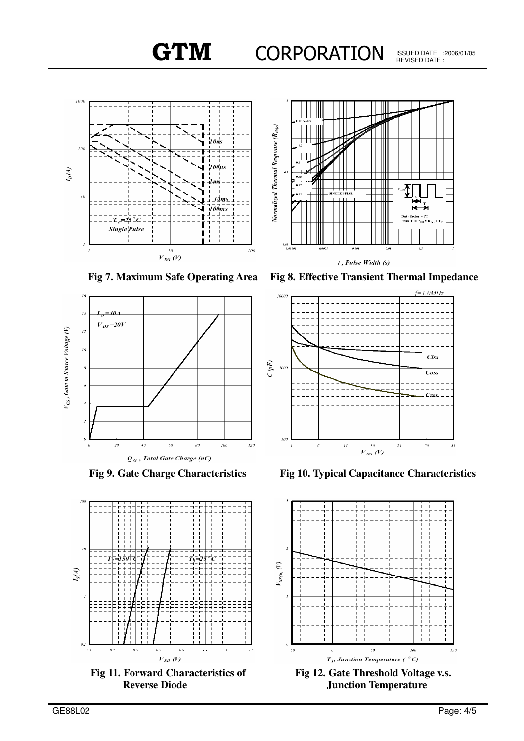







**Fig 11. Forward Characteristics of Reverse Diode**

**Fig 7. Maximum Safe Operating Area Fig 8. Effective Transient Thermal Impedance**



**Fig 9. Gate Charge Characteristics Fig 10. Typical Capacitance Characteristics**



**Fig 12. Gate Threshold Voltage v.s. Junction Temperature**